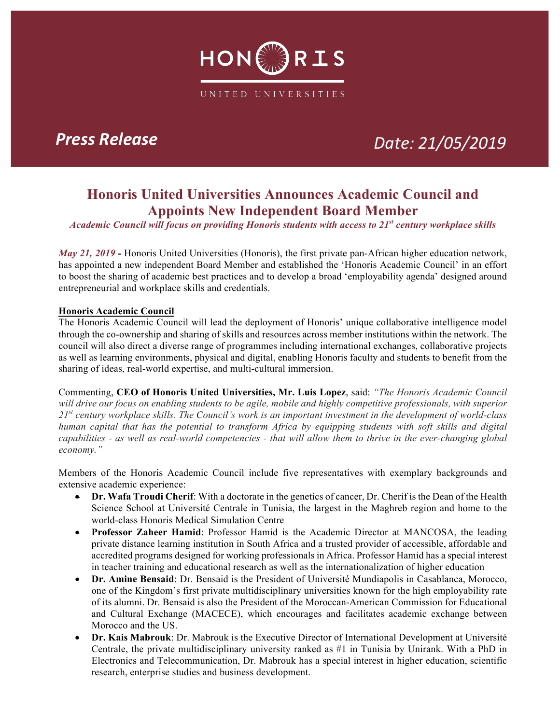

# *Press Release Date: 21/05/2019*

## **Honoris United Universities Announces Academic Council and Appoints New Independent Board Member**

*Academic Council will focus on providing Honoris students with access to 21st century workplace skills* 

*May 21, 2019 -* Honoris United Universities (Honoris), the first private pan-African higher education network, has appointed a new independent Board Member and established the 'Honoris Academic Council' in an effort to boost the sharing of academic best practices and to develop a broad 'employability agenda' designed around entrepreneurial and workplace skills and credentials.

### **Honoris Academic Council**

The Honoris Academic Council will lead the deployment of Honoris' unique collaborative intelligence model through the co-ownership and sharing of skills and resources across member institutions within the network. The council will also direct a diverse range of programmes including international exchanges, collaborative projects as well as learning environments, physical and digital, enabling Honoris faculty and students to benefit from the sharing of ideas, real-world expertise, and multi-cultural immersion.

Commenting, **CEO of Honoris United Universities, Mr. Luis Lopez**, said: *"The Honoris Academic Council will drive our focus on enabling students to be agile, mobile and highly competitive professionals, with superior 21st century workplace skills. The Council's work is an important investment in the development of world-class human capital that has the potential to transform Africa by equipping students with soft skills and digital capabilities - as well as real-world competencies - that will allow them to thrive in the ever-changing global economy."*

Members of the Honoris Academic Council include five representatives with exemplary backgrounds and extensive academic experience:

- **Dr. Wafa Troudi Cherif**: With a doctorate in the genetics of cancer, Dr. Cherif is the Dean of the Health Science School at Université Centrale in Tunisia, the largest in the Maghreb region and home to the world-class Honoris Medical Simulation Centre
- **Professor Zaheer Hamid**: Professor Hamid is the Academic Director at MANCOSA, the leading private distance learning institution in South Africa and a trusted provider of accessible, affordable and accredited programs designed for working professionals in Africa. Professor Hamid has a special interest in teacher training and educational research as well as the internationalization of higher education
- **Dr. Amine Bensaid**: Dr. Bensaid is the President of Université Mundiapolis in Casablanca, Morocco, one of the Kingdom's first private multidisciplinary universities known for the high employability rate of its alumni. Dr. Bensaid is also the President of the Moroccan-American Commission for Educational and Cultural Exchange (MACECE), which encourages and facilitates academic exchange between Morocco and the US.
- **Dr. Kais Mabrouk**: Dr. Mabrouk is the Executive Director of International Development at Université Centrale, the private multidisciplinary university ranked as #1 in Tunisia by Unirank. With a PhD in Electronics and Telecommunication, Dr. Mabrouk has a special interest in higher education, scientific research, enterprise studies and business development.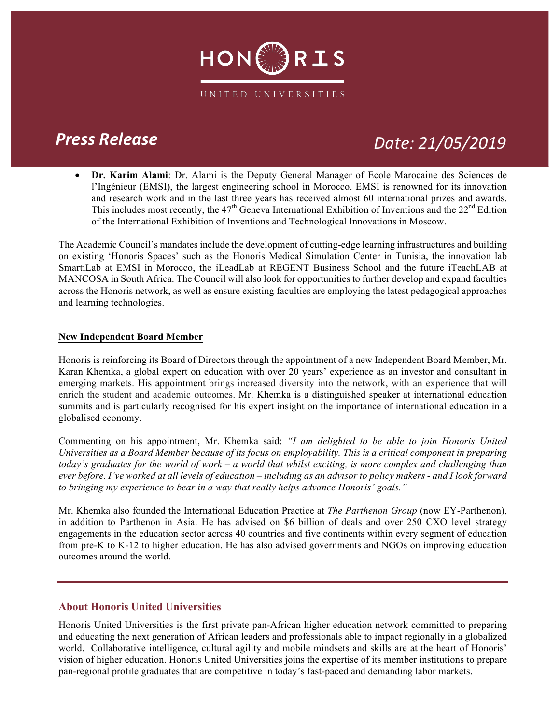

## *Press Release Date: 21/05/2019*

• **Dr. Karim Alami**: Dr. Alami is the Deputy General Manager of Ecole Marocaine des Sciences de l'Ingénieur (EMSI), the largest engineering school in Morocco. EMSI is renowned for its innovation and research work and in the last three years has received almost 60 international prizes and awards. This includes most recently, the  $47<sup>th</sup>$  Geneva International Exhibition of Inventions and the  $22<sup>nd</sup>$  Edition of the International Exhibition of Inventions and Technological Innovations in Moscow.

The Academic Council's mandates include the development of cutting-edge learning infrastructures and building on existing 'Honoris Spaces' such as the Honoris Medical Simulation Center in Tunisia, the innovation lab SmartiLab at EMSI in Morocco, the iLeadLab at REGENT Business School and the future iTeachLAB at MANCOSA in South Africa. The Council will also look for opportunities to further develop and expand faculties across the Honoris network, as well as ensure existing faculties are employing the latest pedagogical approaches and learning technologies.

### **New Independent Board Member**

Honoris is reinforcing its Board of Directors through the appointment of a new Independent Board Member, Mr. Karan Khemka, a global expert on education with over 20 years' experience as an investor and consultant in emerging markets. His appointment brings increased diversity into the network, with an experience that will enrich the student and academic outcomes. Mr. Khemka is a distinguished speaker at international education summits and is particularly recognised for his expert insight on the importance of international education in a globalised economy.

Commenting on his appointment, Mr. Khemka said: *"I am delighted to be able to join Honoris United Universities as a Board Member because of its focus on employability. This is a critical component in preparing today's graduates for the world of work – a world that whilst exciting, is more complex and challenging than ever before. I've worked at all levels of education – including as an advisor to policy makers - and I look forward to bringing my experience to bear in a way that really helps advance Honoris' goals."*

Mr. Khemka also founded the International Education Practice at *The Parthenon Group* (now EY-Parthenon), in addition to Parthenon in Asia. He has advised on \$6 billion of deals and over 250 CXO level strategy engagements in the education sector across 40 countries and five continents within every segment of education from pre-K to K-12 to higher education. He has also advised governments and NGOs on improving education outcomes around the world.

### **About Honoris United Universities**

Honoris United Universities is the first private pan-African higher education network committed to preparing and educating the next generation of African leaders and professionals able to impact regionally in a globalized world. Collaborative intelligence, cultural agility and mobile mindsets and skills are at the heart of Honoris' vision of higher education. Honoris United Universities joins the expertise of its member institutions to prepare pan-regional profile graduates that are competitive in today's fast-paced and demanding labor markets.